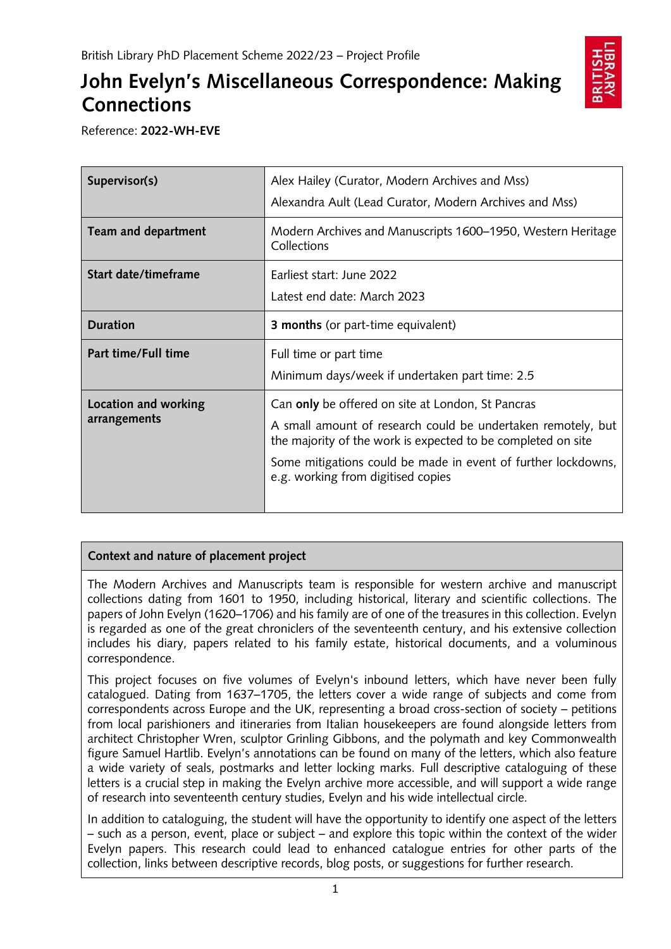# **John Evelyn's Miscellaneous Correspondence: Making Connections**



Reference: **2022-WH-EVE**

| Supervisor(s)                        | Alex Hailey (Curator, Modern Archives and Mss)<br>Alexandra Ault (Lead Curator, Modern Archives and Mss)                                                                                                                                                                                 |
|--------------------------------------|------------------------------------------------------------------------------------------------------------------------------------------------------------------------------------------------------------------------------------------------------------------------------------------|
| Team and department                  | Modern Archives and Manuscripts 1600–1950, Western Heritage<br>Collections                                                                                                                                                                                                               |
| Start date/timeframe                 | Earliest start: June 2022<br>Latest end date: March 2023                                                                                                                                                                                                                                 |
| <b>Duration</b>                      | <b>3 months</b> (or part-time equivalent)                                                                                                                                                                                                                                                |
| Part time/Full time                  | Full time or part time<br>Minimum days/week if undertaken part time: 2.5                                                                                                                                                                                                                 |
| Location and working<br>arrangements | Can only be offered on site at London, St Pancras<br>A small amount of research could be undertaken remotely, but<br>the majority of the work is expected to be completed on site<br>Some mitigations could be made in event of further lockdowns,<br>e.g. working from digitised copies |

## **Context and nature of placement project**

The Modern Archives and Manuscripts team is responsible for western archive and manuscript collections dating from 1601 to 1950, including historical, literary and scientific collections. The papers of John Evelyn (1620–1706) and his family are of one of the treasures in this collection. Evelyn is regarded as one of the great chroniclers of the seventeenth century, and his extensive collection includes his diary, papers related to his family estate, historical documents, and a voluminous correspondence.

This project focuses on five volumes of Evelyn's inbound letters, which have never been fully catalogued. Dating from 1637–1705, the letters cover a wide range of subjects and come from correspondents across Europe and the UK, representing a broad cross-section of society – petitions from local parishioners and itineraries from Italian housekeepers are found alongside letters from architect Christopher Wren, sculptor Grinling Gibbons, and the polymath and key Commonwealth figure Samuel Hartlib. Evelyn's annotations can be found on many of the letters, which also feature a wide variety of seals, postmarks and letter locking marks. Full descriptive cataloguing of these letters is a crucial step in making the Evelyn archive more accessible, and will support a wide range of research into seventeenth century studies, Evelyn and his wide intellectual circle.

In addition to cataloguing, the student will have the opportunity to identify one aspect of the letters – such as a person, event, place or subject – and explore this topic within the context of the wider Evelyn papers. This research could lead to enhanced catalogue entries for other parts of the collection, links between descriptive records, blog posts, or suggestions for further research.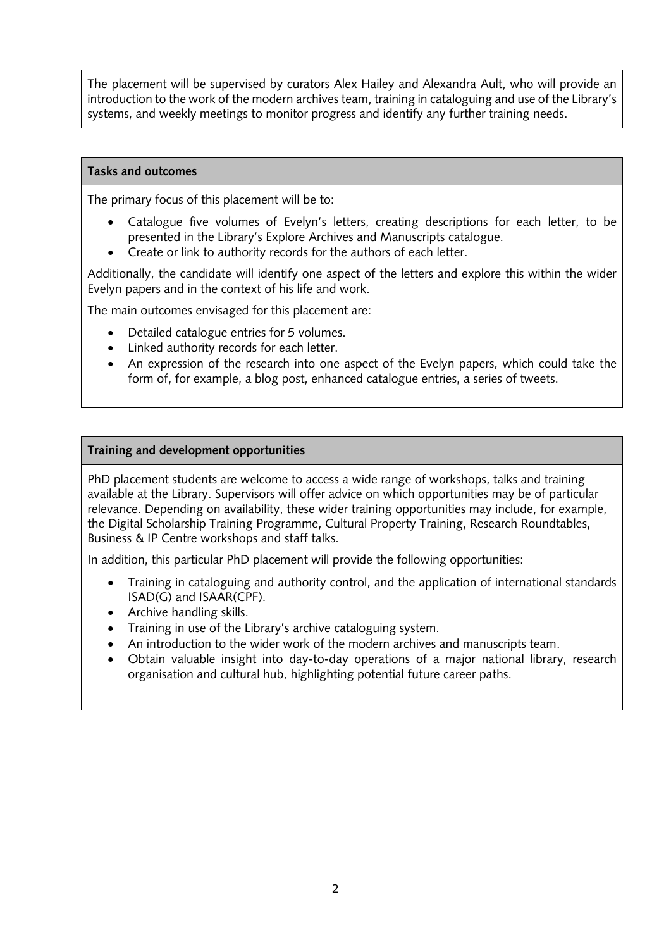The placement will be supervised by curators Alex Hailey and Alexandra Ault, who will provide an introduction to the work of the modern archives team, training in cataloguing and use of the Library's systems, and weekly meetings to monitor progress and identify any further training needs.

#### **Tasks and outcomes**

The primary focus of this placement will be to:

- Catalogue five volumes of Evelyn's letters, creating descriptions for each letter, to be presented in the Library's Explore Archives and Manuscripts catalogue.
- Create or link to authority records for the authors of each letter.

Additionally, the candidate will identify one aspect of the letters and explore this within the wider Evelyn papers and in the context of his life and work.

The main outcomes envisaged for this placement are:

- Detailed catalogue entries for 5 volumes.
- Linked authority records for each letter.
- An expression of the research into one aspect of the Evelyn papers, which could take the form of, for example, a blog post, enhanced catalogue entries, a series of tweets.

### **Training and development opportunities**

PhD placement students are welcome to access a wide range of workshops, talks and training available at the Library. Supervisors will offer advice on which opportunities may be of particular relevance. Depending on availability, these wider training opportunities may include, for example, the Digital Scholarship Training Programme, Cultural Property Training, Research Roundtables, Business & IP Centre workshops and staff talks.

In addition, this particular PhD placement will provide the following opportunities:

- Training in cataloguing and authority control, and the application of international standards ISAD(G) and ISAAR(CPF).
- Archive handling skills.
- Training in use of the Library's archive cataloguing system.
- An introduction to the wider work of the modern archives and manuscripts team.
- Obtain valuable insight into day-to-day operations of a major national library, research organisation and cultural hub, highlighting potential future career paths.